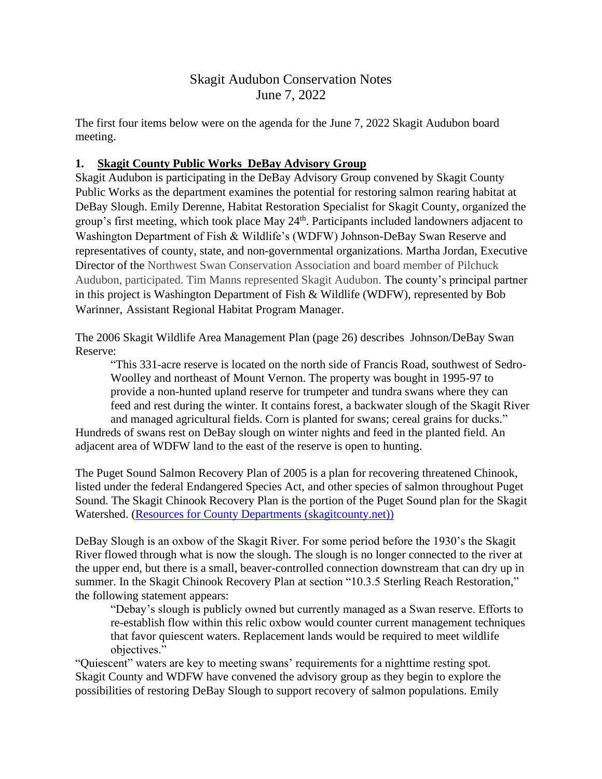# Skagit Audubon Conservation Notes June 7, 2022

The first four items below were on the agenda for the June 7, 2022 Skagit Audubon board meeting.

### **1. Skagit County Public Works DeBay Advisory Group**

Skagit Audubon is participating in the DeBay Advisory Group convened by Skagit County Public Works as the department examines the potential for restoring salmon rearing habitat at DeBay Slough. Emily Derenne, Habitat Restoration Specialist for Skagit County, organized the group's first meeting, which took place May 24<sup>th</sup>. Participants included landowners adjacent to Washington Department of Fish & Wildlife's (WDFW) Johnson-DeBay Swan Reserve and representatives of county, state, and non-governmental organizations. Martha Jordan, Executive Director of the Northwest Swan Conservation Association and board member of Pilchuck Audubon, participated. Tim Manns represented Skagit Audubon. The county's principal partner in this project is Washington Department of Fish & Wildlife (WDFW), represented by Bob Warinner, Assistant Regional Habitat Program Manager.

The 2006 Skagit Wildlife Area Management Plan (page 26) describes Johnson/DeBay Swan Reserve:

"This 331-acre reserve is located on the north side of Francis Road, southwest of Sedro-Woolley and northeast of Mount Vernon. The property was bought in 1995-97 to provide a non-hunted upland reserve for trumpeter and tundra swans where they can feed and rest during the winter. It contains forest, a backwater slough of the Skagit River and managed agricultural fields. Corn is planted for swans; cereal grains for ducks."

Hundreds of swans rest on DeBay slough on winter nights and feed in the planted field. An adjacent area of WDFW land to the east of the reserve is open to hunting.

The Puget Sound Salmon Recovery Plan of 2005 is a plan for recovering threatened Chinook, listed under the federal Endangered Species Act, and other species of salmon throughout Puget Sound. The Skagit Chinook Recovery Plan is the portion of the Puget Sound plan for the Skagit Watershed. [\(Resources for County Departments \(skagitcounty.net\)\)](https://www.skagitcounty.net/Departments/SalmonStrategy/resources.htm#:~:text=The%20Skagit%20Chinook%20Recovery%20Plan%20%28SCRP%29%20is%20the,the%20sections%20of%20the%20SCRP%20concerning%20salmon%20habitat.)

DeBay Slough is an oxbow of the Skagit River. For some period before the 1930's the Skagit River flowed through what is now the slough. The slough is no longer connected to the river at the upper end, but there is a small, beaver-controlled connection downstream that can dry up in summer. In the Skagit Chinook Recovery Plan at section "10.3.5 Sterling Reach Restoration," the following statement appears:

"Debay's slough is publicly owned but currently managed as a Swan reserve. Efforts to re-establish flow within this relic oxbow would counter current management techniques that favor quiescent waters. Replacement lands would be required to meet wildlife objectives."

"Quiescent" waters are key to meeting swans' requirements for a nighttime resting spot. Skagit County and WDFW have convened the advisory group as they begin to explore the possibilities of restoring DeBay Slough to support recovery of salmon populations. Emily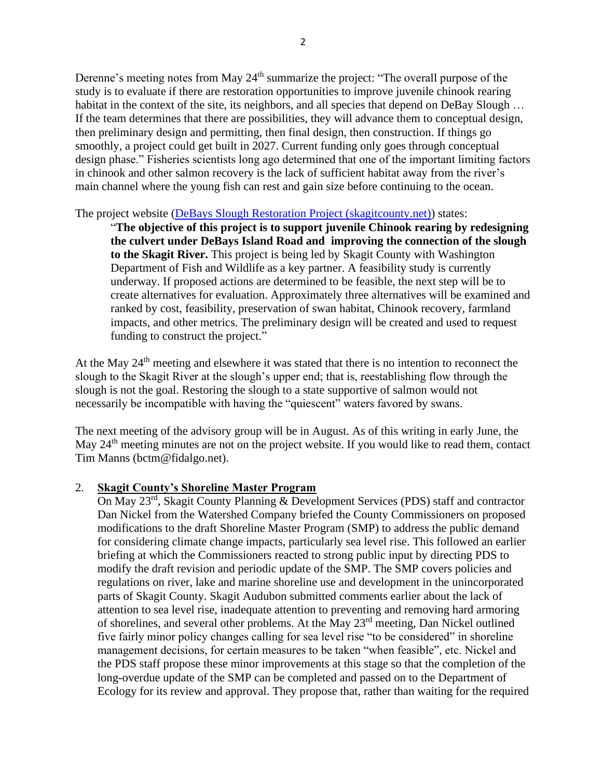Derenne's meeting notes from May  $24<sup>th</sup>$  summarize the project: "The overall purpose of the study is to evaluate if there are restoration opportunities to improve juvenile chinook rearing habitat in the context of the site, its neighbors, and all species that depend on DeBay Slough ... If the team determines that there are possibilities, they will advance them to conceptual design, then preliminary design and permitting, then final design, then construction. If things go smoothly, a project could get built in 2027. Current funding only goes through conceptual design phase." Fisheries scientists long ago determined that one of the important limiting factors in chinook and other salmon recovery is the lack of sufficient habitat away from the river's main channel where the young fish can rest and gain size before continuing to the ocean.

The project website [\(DeBays Slough Restoration Project \(skagitcounty.net\)\)](https://www.skagitcounty.net/Departments/PublicWorksSurfaceWaterManagement/DeBays.htm) states:

"**The objective of this project is to support juvenile Chinook rearing by redesigning the culvert under DeBays Island Road and improving the connection of the slough to the Skagit River.** This project is being led by Skagit County with Washington Department of Fish and Wildlife as a key partner. A feasibility study is currently underway. If proposed actions are determined to be feasible, the next step will be to create alternatives for evaluation. Approximately three alternatives will be examined and ranked by cost, feasibility, preservation of swan habitat, Chinook recovery, farmland impacts, and other metrics. The preliminary design will be created and used to request funding to construct the project."

At the May 24<sup>th</sup> meeting and elsewhere it was stated that there is no intention to reconnect the slough to the Skagit River at the slough's upper end; that is, reestablishing flow through the slough is not the goal. Restoring the slough to a state supportive of salmon would not necessarily be incompatible with having the "quiescent" waters favored by swans.

The next meeting of the advisory group will be in August. As of this writing in early June, the May 24<sup>th</sup> meeting minutes are not on the project website. If you would like to read them, contact Tim Manns (bctm@fidalgo.net).

### 2. **Skagit County's Shoreline Master Program**

On May 23rd, Skagit County Planning & Development Services (PDS) staff and contractor Dan Nickel from the Watershed Company briefed the County Commissioners on proposed modifications to the draft Shoreline Master Program (SMP) to address the public demand for considering climate change impacts, particularly sea level rise. This followed an earlier briefing at which the Commissioners reacted to strong public input by directing PDS to modify the draft revision and periodic update of the SMP. The SMP covers policies and regulations on river, lake and marine shoreline use and development in the unincorporated parts of Skagit County. Skagit Audubon submitted comments earlier about the lack of attention to sea level rise, inadequate attention to preventing and removing hard armoring of shorelines, and several other problems. At the May 23rd meeting, Dan Nickel outlined five fairly minor policy changes calling for sea level rise "to be considered" in shoreline management decisions, for certain measures to be taken "when feasible", etc. Nickel and the PDS staff propose these minor improvements at this stage so that the completion of the long-overdue update of the SMP can be completed and passed on to the Department of Ecology for its review and approval. They propose that, rather than waiting for the required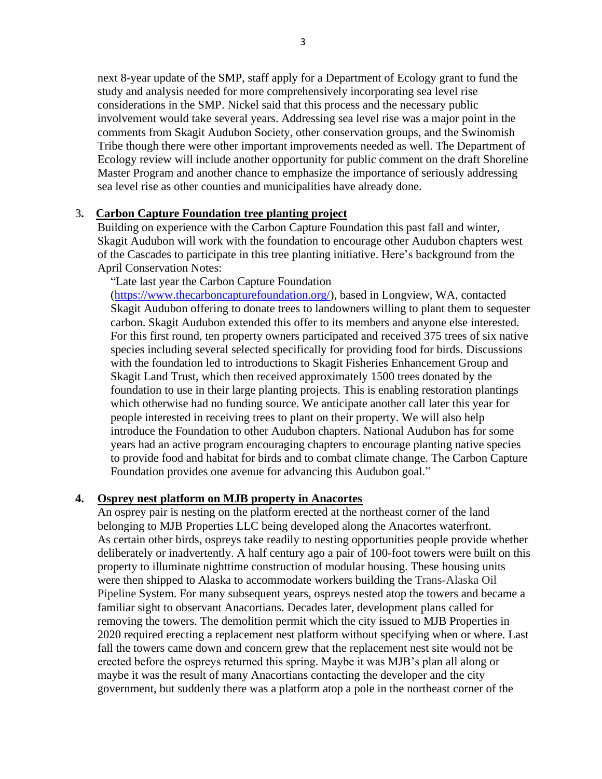next 8-year update of the SMP, staff apply for a Department of Ecology grant to fund the study and analysis needed for more comprehensively incorporating sea level rise considerations in the SMP. Nickel said that this process and the necessary public involvement would take several years. Addressing sea level rise was a major point in the comments from Skagit Audubon Society, other conservation groups, and the Swinomish Tribe though there were other important improvements needed as well. The Department of Ecology review will include another opportunity for public comment on the draft Shoreline Master Program and another chance to emphasize the importance of seriously addressing sea level rise as other counties and municipalities have already done.

#### 3**. Carbon Capture Foundation tree planting project**

Building on experience with the Carbon Capture Foundation this past fall and winter, Skagit Audubon will work with the foundation to encourage other Audubon chapters west of the Cascades to participate in this tree planting initiative. Here's background from the April Conservation Notes:

"Late last year the Carbon Capture Foundation [\(https://www.thecarboncapturefoundation.org/\)](https://www.thecarboncapturefoundation.org/), based in Longview, WA, contacted Skagit Audubon offering to donate trees to landowners willing to plant them to sequester carbon. Skagit Audubon extended this offer to its members and anyone else interested. For this first round, ten property owners participated and received 375 trees of six native species including several selected specifically for providing food for birds. Discussions with the foundation led to introductions to Skagit Fisheries Enhancement Group and Skagit Land Trust, which then received approximately 1500 trees donated by the foundation to use in their large planting projects. This is enabling restoration plantings which otherwise had no funding source. We anticipate another call later this year for people interested in receiving trees to plant on their property. We will also help introduce the Foundation to other Audubon chapters. National Audubon has for some years had an active program encouraging chapters to encourage planting native species to provide food and habitat for birds and to combat climate change. The Carbon Capture Foundation provides one avenue for advancing this Audubon goal."

#### **4. Osprey nest platform on MJB property in Anacortes**

An osprey pair is nesting on the platform erected at the northeast corner of the land belonging to MJB Properties LLC being developed along the Anacortes waterfront. As certain other birds, ospreys take readily to nesting opportunities people provide whether deliberately or inadvertently. A half century ago a pair of 100-foot towers were built on this property to illuminate nighttime construction of modular housing. These housing units were then shipped to Alaska to accommodate workers building the Trans-Alaska Oil Pipeline System. For many subsequent years, ospreys nested atop the towers and became a familiar sight to observant Anacortians. Decades later, development plans called for removing the towers. The demolition permit which the city issued to MJB Properties in 2020 required erecting a replacement nest platform without specifying when or where. Last fall the towers came down and concern grew that the replacement nest site would not be erected before the ospreys returned this spring. Maybe it was MJB's plan all along or maybe it was the result of many Anacortians contacting the developer and the city government, but suddenly there was a platform atop a pole in the northeast corner of the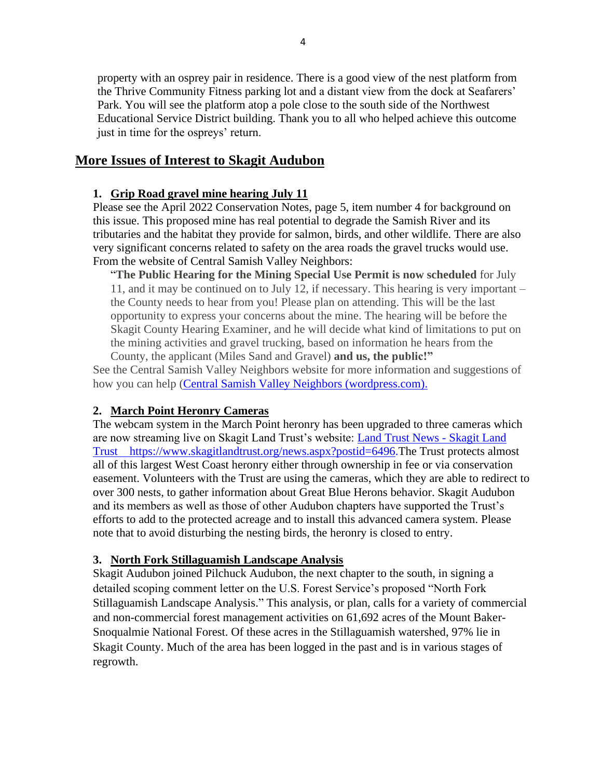property with an osprey pair in residence. There is a good view of the nest platform from the Thrive Community Fitness parking lot and a distant view from the dock at Seafarers' Park. You will see the platform atop a pole close to the south side of the Northwest Educational Service District building. Thank you to all who helped achieve this outcome just in time for the ospreys' return.

## **More Issues of Interest to Skagit Audubon**

### **1. Grip Road gravel mine hearing July 11**

Please see the April 2022 Conservation Notes, page 5, item number 4 for background on this issue. This proposed mine has real potential to degrade the Samish River and its tributaries and the habitat they provide for salmon, birds, and other wildlife. There are also very significant concerns related to safety on the area roads the gravel trucks would use. From the website of Central Samish Valley Neighbors:

"**The Public Hearing for the Mining Special Use Permit is now scheduled** for July 11, and it may be continued on to July 12, if necessary. This hearing is very important – the County needs to hear from you! Please plan on attending. This will be the last opportunity to express your concerns about the mine. The hearing will be before the Skagit County Hearing Examiner, and he will decide what kind of limitations to put on the mining activities and gravel trucking, based on information he hears from the County, the applicant (Miles Sand and Gravel) **and us, the public!"**

See the Central Samish Valley Neighbors website for more information and suggestions of how you can help [\(Central Samish Valley Neighbors \(wordpress.com\).](https://centralsamish.wordpress.com/)

## **2. March Point Heronry Cameras**

The webcam system in the March Point heronry has been upgraded to three cameras which are now streaming live on Skagit Land Trust's website: [Land Trust News -](https://www.skagitlandtrust.org/news.aspx?postid=6496) Skagit Land [Trust https://www.skagitlandtrust.org/news.aspx?postid=6496.](https://www.skagitlandtrust.org/news.aspx?postid=6496)The Trust protects almost all of this largest West Coast heronry either through ownership in fee or via conservation easement. Volunteers with the Trust are using the cameras, which they are able to redirect to over 300 nests, to gather information about Great Blue Herons behavior. Skagit Audubon and its members as well as those of other Audubon chapters have supported the Trust's efforts to add to the protected acreage and to install this advanced camera system. Please note that to avoid disturbing the nesting birds, the heronry is closed to entry.

## **3. North Fork Stillaguamish Landscape Analysis**

Skagit Audubon joined Pilchuck Audubon, the next chapter to the south, in signing a detailed scoping comment letter on the U.S. Forest Service's proposed "North Fork Stillaguamish Landscape Analysis." This analysis, or plan, calls for a variety of commercial and non-commercial forest management activities on 61,692 acres of the Mount Baker-Snoqualmie National Forest. Of these acres in the Stillaguamish watershed, 97% lie in Skagit County. Much of the area has been logged in the past and is in various stages of regrowth.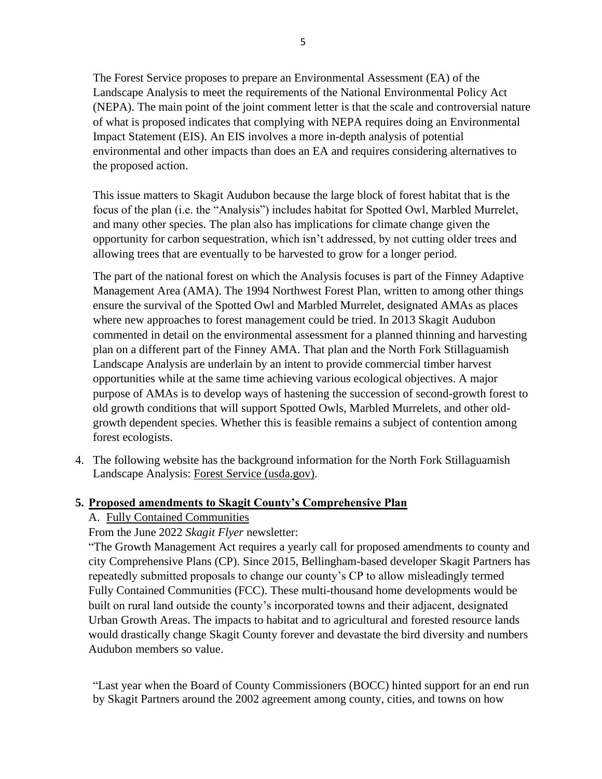The Forest Service proposes to prepare an Environmental Assessment (EA) of the Landscape Analysis to meet the requirements of the National Environmental Policy Act (NEPA). The main point of the joint comment letter is that the scale and controversial nature of what is proposed indicates that complying with NEPA requires doing an Environmental Impact Statement (EIS). An EIS involves a more in-depth analysis of potential environmental and other impacts than does an EA and requires considering alternatives to the proposed action.

This issue matters to Skagit Audubon because the large block of forest habitat that is the focus of the plan (i.e. the "Analysis") includes habitat for Spotted Owl, Marbled Murrelet, and many other species. The plan also has implications for climate change given the opportunity for carbon sequestration, which isn't addressed, by not cutting older trees and allowing trees that are eventually to be harvested to grow for a longer period.

The part of the national forest on which the Analysis focuses is part of the Finney Adaptive Management Area (AMA). The 1994 Northwest Forest Plan, written to among other things ensure the survival of the Spotted Owl and Marbled Murrelet, designated AMAs as places where new approaches to forest management could be tried. In 2013 Skagit Audubon commented in detail on the environmental assessment for a planned thinning and harvesting plan on a different part of the Finney AMA. That plan and the North Fork Stillaguamish Landscape Analysis are underlain by an intent to provide commercial timber harvest opportunities while at the same time achieving various ecological objectives. A major purpose of AMAs is to develop ways of hastening the succession of second-growth forest to old growth conditions that will support Spotted Owls, Marbled Murrelets, and other oldgrowth dependent species. Whether this is feasible remains a subject of contention among forest ecologists.

4. The following website has the background information for the North Fork Stillaguamish Landscape Analysis: Forest Service (usda.gov).

### **5. Proposed amendments to Skagit County's Comprehensive Plan**

### A. Fully Contained Communities

### From the June 2022 *Skagit Flyer* newsletter:

"The Growth Management Act requires a yearly call for proposed amendments to county and city Comprehensive Plans (CP). Since 2015, Bellingham-based developer Skagit Partners has repeatedly submitted proposals to change our county's CP to allow misleadingly termed Fully Contained Communities (FCC). These multi-thousand home developments would be built on rural land outside the county's incorporated towns and their adjacent, designated Urban Growth Areas. The impacts to habitat and to agricultural and forested resource lands would drastically change Skagit County forever and devastate the bird diversity and numbers Audubon members so value.

"Last year when the Board of County Commissioners (BOCC) hinted support for an end run by Skagit Partners around the 2002 agreement among county, cities, and towns on how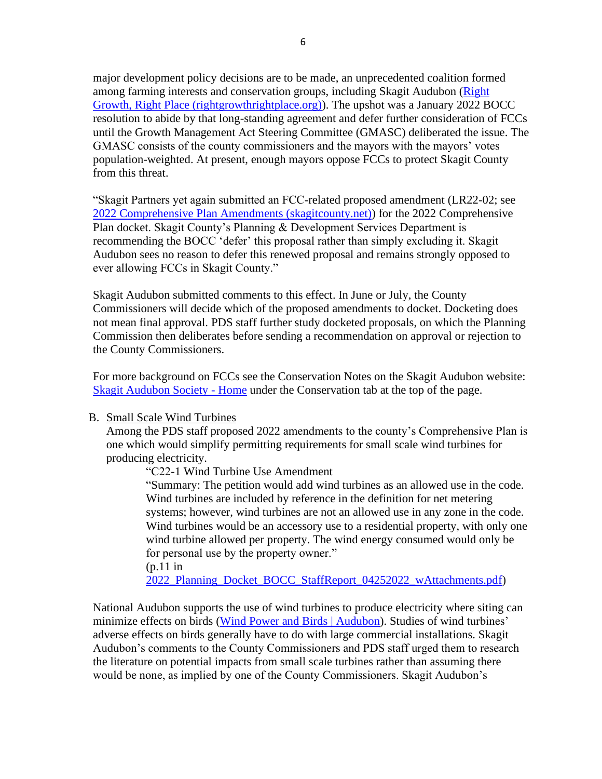major development policy decisions are to be made, an unprecedented coalition formed among farming interests and conservation groups, including Skagit Audubon (Right Growth, Right Place (rightgrowthrightplace.org)). The upshot was a January 2022 BOCC resolution to abide by that long-standing agreement and defer further consideration of FCCs until the Growth Management Act Steering Committee (GMASC) deliberated the issue. The GMASC consists of the county commissioners and the mayors with the mayors' votes population-weighted. At present, enough mayors oppose FCCs to protect Skagit County from this threat.

"Skagit Partners yet again submitted an FCC-related proposed amendment (LR22-02; see 2022 Comprehensive Plan Amendments (skagitcounty.net)) for the 2022 Comprehensive Plan docket. Skagit County's Planning & Development Services Department is recommending the BOCC 'defer' this proposal rather than simply excluding it. Skagit Audubon sees no reason to defer this renewed proposal and remains strongly opposed to ever allowing FCCs in Skagit County."

Skagit Audubon submitted comments to this effect. In June or July, the County Commissioners will decide which of the proposed amendments to docket. Docketing does not mean final approval. PDS staff further study docketed proposals, on which the Planning Commission then deliberates before sending a recommendation on approval or rejection to the County Commissioners.

For more background on FCCs see the Conservation Notes on the Skagit Audubon website: Skagit Audubon Society - Home under the Conservation tab at the top of the page.

#### B. Small Scale Wind Turbines

Among the PDS staff proposed 2022 amendments to the county's Comprehensive Plan is one which would simplify permitting requirements for small scale wind turbines for producing electricity.

"C22-1 Wind Turbine Use Amendment

"Summary: The petition would add wind turbines as an allowed use in the code. Wind turbines are included by reference in the definition for net metering systems; however, wind turbines are not an allowed use in any zone in the code. Wind turbines would be an accessory use to a residential property, with only one wind turbine allowed per property. The wind energy consumed would only be for personal use by the property owner." (p.11 in

2022 Planning Docket BOCC StaffReport 04252022 wAttachments.pdf)

National Audubon supports the use of wind turbines to produce electricity where siting can minimize effects on birds (Wind Power and Birds | Audubon). Studies of wind turbines' adverse effects on birds generally have to do with large commercial installations. Skagit Audubon's comments to the County Commissioners and PDS staff urged them to research the literature on potential impacts from small scale turbines rather than assuming there would be none, as implied by one of the County Commissioners. Skagit Audubon's